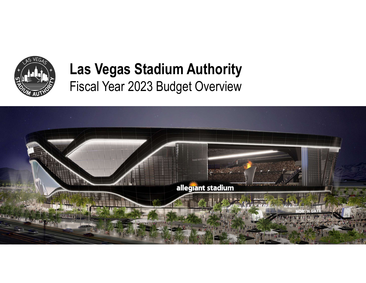

### Las Vegas Stadium Authority Fiscal Year 2023 Budget Overview

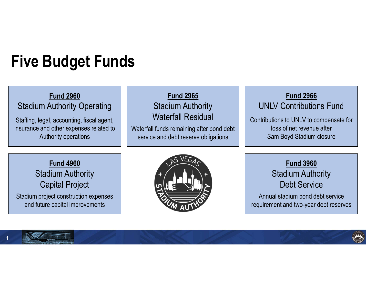# Five Budget Funds

#### Fund 2960 Stadium Authority Operating

Staffing, legal, accounting, fiscal agent, insurance and other expenses related to Authority operations

#### Fund 2965 Stadium Authority Waterfall Residual Waterfall funds remaining after bond debt service and debt reserve obligations

### Fund 2966 UNLV Contributions Fund

Contributions to UNLV to compensate for loss of net revenue after Sam Boyd Stadium closure

Fund 4960 Stadium Authority Capital Project Stadium project construction expenses and future capital improvements

![](_page_1_Picture_7.jpeg)

Fund 3960 Stadium Authority Debt Service

Annual stadium bond debt service requirement and two-year debt reserves

![](_page_1_Picture_10.jpeg)

![](_page_1_Picture_11.jpeg)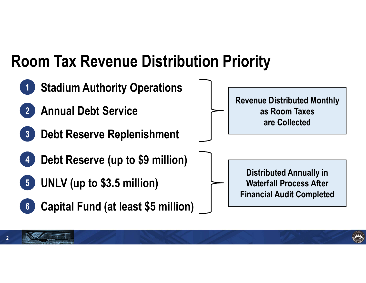## Room Tax Revenue Distribution Priority

![](_page_2_Figure_1.jpeg)

2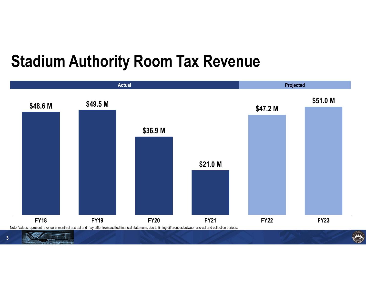## Stadium Authority Room Tax Revenue

![](_page_3_Figure_1.jpeg)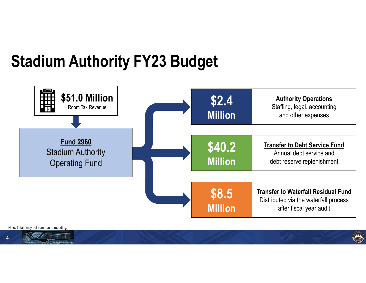# Stadium Authority FY23 Budget

![](_page_4_Figure_1.jpeg)

Note: Totals may not sum due to rounding.

![](_page_4_Picture_3.jpeg)

![](_page_4_Picture_4.jpeg)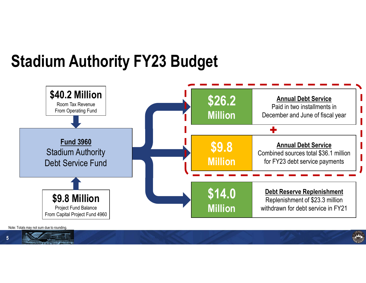## Stadium Authority FY23 Budget

![](_page_5_Figure_1.jpeg)

Note: Totals may not sum due to rounding.

5 JAN JOHN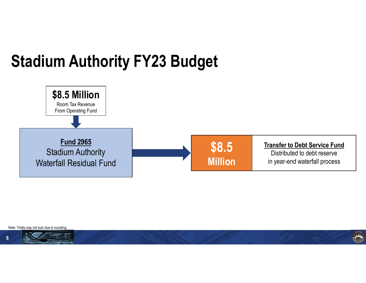# Stadium Authority FY23 Budget

![](_page_6_Figure_1.jpeg)

Note: Totals may not sum due to rounding.

![](_page_6_Picture_3.jpeg)

![](_page_6_Picture_4.jpeg)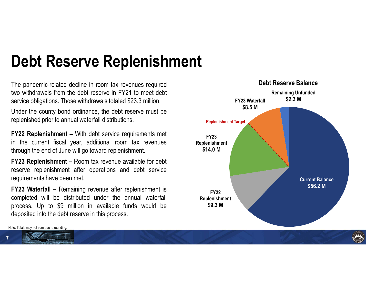# Debt Reserve Replenishment

**Debt Reserve Replenishment**<br>The pandemic-related decline in room tax revenues required<br>two withdrawals from the debt reserve in FY21 to meet debt<br>service obligations. Those withdrawals totaled \$23.3 million.<br>Under the cou

Current Balance \$56.2 M FY<sub>22</sub> Replenishment \$9.3 M FY23 Replenishment \$14.0 M FY23 Waterfall \$8.5 M Remaining Unfunded \$2.3 M **Debt Reserve Replenishment The pandemic-related decline in room tax revenues required**<br>The pandemic-related decline in room tax revenues required<br>service obligations. Those withdrawals totaled \$23.3 million.<br>Under the cou **Debt Reserve Replenishment**<br>The pandemic-related decline in room tax revenues required<br>two withdrawals from the debt reserve in FY21 to meet debt<br>gervice obligations. Those withdrawals totaled \$23.3 million.<br>Under the cou **Debt Reserve Replenishment**<br>The pandemic-related decline in room tax revenues required<br>two withdrawals from the debt reserve in FY21 to meet debt<br>service obligations. Those withdrawals totaled \$23.3 million.<br>Under the cou **Debt Reserve Replenishment The pandemic-related decline in room tax revenues required two withdrawals from the debt reserve in FY21 to meet debt<br>service obligations. Those withdrawals totaled \$23.3 million. FY23 Water the** Debt Reserve Balance Replenishment Target **Debt Reserve Replenishment**<br>The pandemic-related decline in room tax revenues required<br>two withdrawals from the debt reserve in FY21 to meet debt<br>service obligations. Those withdrawals totaled \$23.3 million.<br>Under the cou **Debt Reserve Replenishment**<br>
The pandemic-related decline in room tax revenues required<br>
two withdrawals from the debt reserve in FY21 to meet debt<br>
service obligations. Those withdrawals totaled \$23.3 million.<br>
Under the **Debt Reserve Replenishment**<br>The pandemic-related decline in room tax revenues required<br>two withdrawals from the debt reserve in FY21 to meet debt<br>service obligations. Those withdrawals totaled \$23.3 million. FY23 Water<br>Un **Debt Reserve Replenishment**<br>The pandemic-related decline in room tax revenues required<br>two withdrawals from the debt reserve in FY21 to meet debt<br>service obligations. Those withdrawals totaled \$23.3 million.<br>Under the cou **Debt Reserve Replenishment**<br>The pandemic-related decline in room tax revenues required<br>two withdrawals form the debt reserve in FY21 to meet debt service obligations. Those withdrawals totaled \$23.3 million.<br>Under the cou **Debt Reserve Replents Imment**<br>The pandemic-related decline in room tax revenues required<br>two withdrawals from the debt reserve in FY21 to meet debt<br>service obligations. Those withdrawals totaled \$23.3 million.<br>Under the c The pandemic-related decline in room tax revenues required<br>
For whitehave after the debt reserve in FY21 to meet debt<br>
Service obligations. Those withdrawals totaled \$23.3 million.<br>
Under the county bond ordinance, the deb The pandemic-related decline in room tax revenues required<br>two withdrawals from the debt reserve in FY21 to meet debt<br>service obligations. Those withdrawals totaled \$23.3 million. FY23 Waterfall<br>Under the county bond ordin For process. Up to \$9 million in available funds would be<br>
Sales to the debt reserve in FY21 to meet debt<br>
Under the county bond ordinance, the debt reserve must be<br>
The current fiscal year. additional room tax revenues<br>
T We will the debt reserve in the debt reserve into the debt reserve into the control of the control of the control of the control of the control of the control of the control of the control of the control of the control of

Note: Totals may not sum due to rounding.